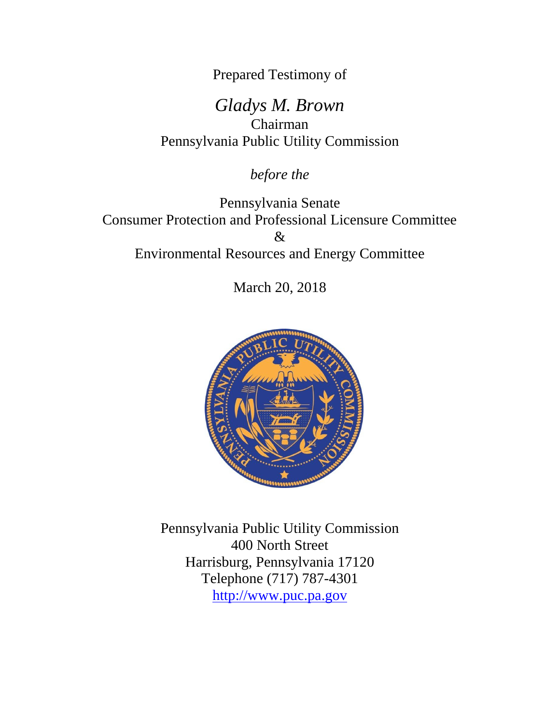Prepared Testimony of

*Gladys M. Brown* Chairman Pennsylvania Public Utility Commission

*before the*

Pennsylvania Senate Consumer Protection and Professional Licensure Committee  $\mathcal{X}$ Environmental Resources and Energy Committee

March 20, 2018



Pennsylvania Public Utility Commission 400 North Street Harrisburg, Pennsylvania 17120 Telephone (717) 787-4301 [http://www.puc.pa.gov](http://www.puc.pa.gov/)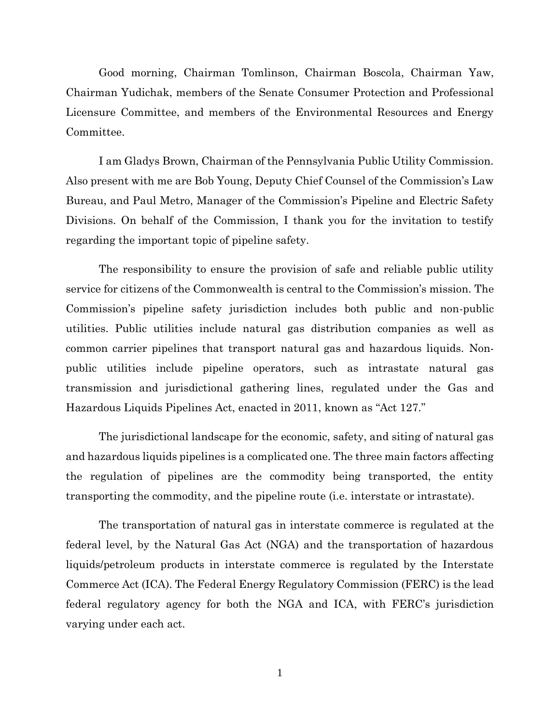Good morning, Chairman Tomlinson, Chairman Boscola, Chairman Yaw, Chairman Yudichak, members of the Senate Consumer Protection and Professional Licensure Committee, and members of the Environmental Resources and Energy Committee.

I am Gladys Brown, Chairman of the Pennsylvania Public Utility Commission. Also present with me are Bob Young, Deputy Chief Counsel of the Commission's Law Bureau, and Paul Metro, Manager of the Commission's Pipeline and Electric Safety Divisions. On behalf of the Commission, I thank you for the invitation to testify regarding the important topic of pipeline safety.

The responsibility to ensure the provision of safe and reliable public utility service for citizens of the Commonwealth is central to the Commission's mission. The Commission's pipeline safety jurisdiction includes both public and non-public utilities. Public utilities include natural gas distribution companies as well as common carrier pipelines that transport natural gas and hazardous liquids. Nonpublic utilities include pipeline operators, such as intrastate natural gas transmission and jurisdictional gathering lines, regulated under the Gas and Hazardous Liquids Pipelines Act, enacted in 2011, known as "Act 127."

The jurisdictional landscape for the economic, safety, and siting of natural gas and hazardous liquids pipelines is a complicated one. The three main factors affecting the regulation of pipelines are the commodity being transported, the entity transporting the commodity, and the pipeline route (i.e. interstate or intrastate).

The transportation of natural gas in interstate commerce is regulated at the federal level, by the Natural Gas Act (NGA) and the transportation of hazardous liquids/petroleum products in interstate commerce is regulated by the Interstate Commerce Act (ICA). The Federal Energy Regulatory Commission (FERC) is the lead federal regulatory agency for both the NGA and ICA, with FERC's jurisdiction varying under each act.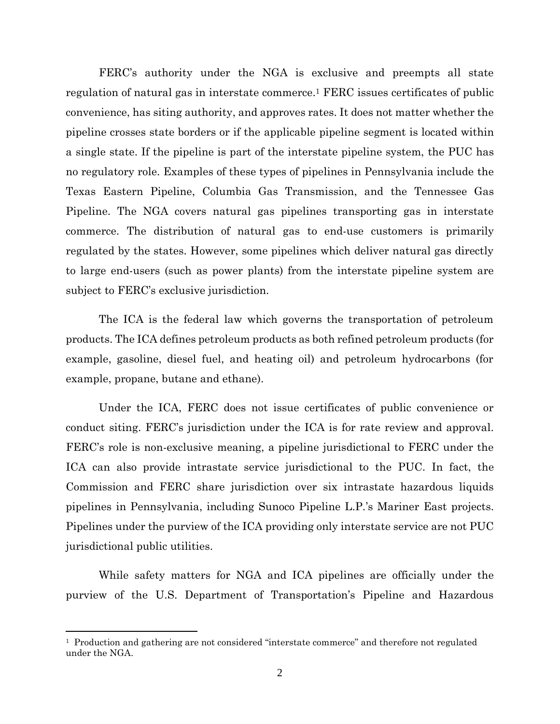FERC's authority under the NGA is exclusive and preempts all state regulation of natural gas in interstate commerce.<sup>1</sup> FERC issues certificates of public convenience, has siting authority, and approves rates. It does not matter whether the pipeline crosses state borders or if the applicable pipeline segment is located within a single state. If the pipeline is part of the interstate pipeline system, the PUC has no regulatory role. Examples of these types of pipelines in Pennsylvania include the Texas Eastern Pipeline, Columbia Gas Transmission, and the Tennessee Gas Pipeline. The NGA covers natural gas pipelines transporting gas in interstate commerce. The distribution of natural gas to end-use customers is primarily regulated by the states. However, some pipelines which deliver natural gas directly to large end-users (such as power plants) from the interstate pipeline system are subject to FERC's exclusive jurisdiction.

The ICA is the federal law which governs the transportation of petroleum products. The ICA defines petroleum products as both refined petroleum products (for example, gasoline, diesel fuel, and heating oil) and petroleum hydrocarbons (for example, propane, butane and ethane).

Under the ICA, FERC does not issue certificates of public convenience or conduct siting. FERC's jurisdiction under the ICA is for rate review and approval. FERC's role is non-exclusive meaning, a pipeline jurisdictional to FERC under the ICA can also provide intrastate service jurisdictional to the PUC. In fact, the Commission and FERC share jurisdiction over six intrastate hazardous liquids pipelines in Pennsylvania, including Sunoco Pipeline L.P.'s Mariner East projects. Pipelines under the purview of the ICA providing only interstate service are not PUC jurisdictional public utilities.

While safety matters for NGA and ICA pipelines are officially under the purview of the U.S. Department of Transportation's Pipeline and Hazardous

<sup>1</sup> Production and gathering are not considered "interstate commerce" and therefore not regulated under the NGA.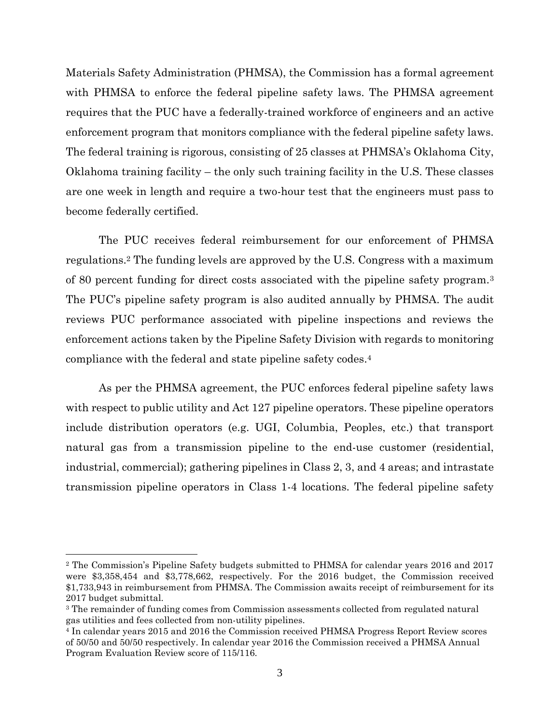Materials Safety Administration (PHMSA), the Commission has a formal agreement with PHMSA to enforce the federal pipeline safety laws. The PHMSA agreement requires that the PUC have a federally-trained workforce of engineers and an active enforcement program that monitors compliance with the federal pipeline safety laws. The federal training is rigorous, consisting of 25 classes at PHMSA's Oklahoma City, Oklahoma training facility – the only such training facility in the U.S. These classes are one week in length and require a two-hour test that the engineers must pass to become federally certified.

The PUC receives federal reimbursement for our enforcement of PHMSA regulations.<sup>2</sup> The funding levels are approved by the U.S. Congress with a maximum of 80 percent funding for direct costs associated with the pipeline safety program.<sup>3</sup> The PUC's pipeline safety program is also audited annually by PHMSA. The audit reviews PUC performance associated with pipeline inspections and reviews the enforcement actions taken by the Pipeline Safety Division with regards to monitoring compliance with the federal and state pipeline safety codes.<sup>4</sup>

As per the PHMSA agreement, the PUC enforces federal pipeline safety laws with respect to public utility and Act 127 pipeline operators. These pipeline operators include distribution operators (e.g. UGI, Columbia, Peoples, etc.) that transport natural gas from a transmission pipeline to the end-use customer (residential, industrial, commercial); gathering pipelines in Class 2, 3, and 4 areas; and intrastate transmission pipeline operators in Class 1-4 locations. The federal pipeline safety

<sup>2</sup> The Commission's Pipeline Safety budgets submitted to PHMSA for calendar years 2016 and 2017 were \$3,358,454 and \$3,778,662, respectively. For the 2016 budget, the Commission received \$1,733,943 in reimbursement from PHMSA. The Commission awaits receipt of reimbursement for its 2017 budget submittal.

<sup>&</sup>lt;sup>3</sup> The remainder of funding comes from Commission assessments collected from regulated natural gas utilities and fees collected from non-utility pipelines.

<sup>4</sup> In calendar years 2015 and 2016 the Commission received PHMSA Progress Report Review scores of 50/50 and 50/50 respectively. In calendar year 2016 the Commission received a PHMSA Annual Program Evaluation Review score of 115/116.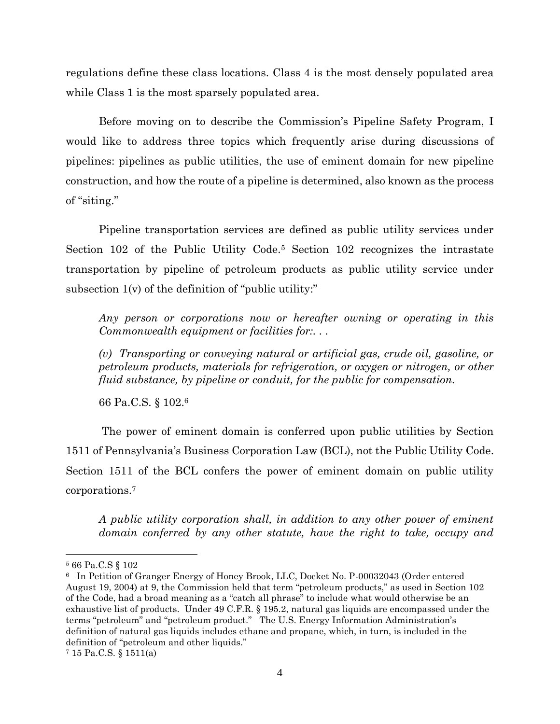regulations define these class locations. Class 4 is the most densely populated area while Class 1 is the most sparsely populated area.

Before moving on to describe the Commission's Pipeline Safety Program, I would like to address three topics which frequently arise during discussions of pipelines: pipelines as public utilities, the use of eminent domain for new pipeline construction, and how the route of a pipeline is determined, also known as the process of "siting."

Pipeline transportation services are defined as public utility services under Section 102 of the Public Utility Code.<sup>5</sup> Section 102 recognizes the intrastate transportation by pipeline of petroleum products as public utility service under subsection 1(v) of the definition of "public utility:"

*Any person or corporations now or hereafter owning or operating in this Commonwealth equipment or facilities for:. . .*

*(v) Transporting or conveying natural or artificial gas, crude oil, gasoline, or petroleum products, materials for refrigeration, or oxygen or nitrogen, or other fluid substance, by pipeline or conduit, for the public for compensation.*

66 Pa.C.S. § 102.<sup>6</sup>

The power of eminent domain is conferred upon public utilities by Section 1511 of Pennsylvania's Business Corporation Law (BCL), not the Public Utility Code. Section 1511 of the BCL confers the power of eminent domain on public utility corporations.<sup>7</sup>

*A public utility corporation shall, in addition to any other power of eminent domain conferred by any other statute, have the right to take, occupy and* 

<sup>5</sup> 66 Pa.C.S § 102

<sup>6</sup> In Petition of Granger Energy of Honey Brook, LLC, Docket No. P-00032043 (Order entered August 19, 2004) at 9, the Commission held that term "petroleum products," as used in Section 102 of the Code, had a broad meaning as a "catch all phrase" to include what would otherwise be an exhaustive list of products. Under 49 C.F.R. § 195.2, natural gas liquids are encompassed under the terms "petroleum" and "petroleum product." The U.S. Energy Information Administration's definition of natural gas liquids includes ethane and propane, which, in turn, is included in the definition of "petroleum and other liquids."

<sup>7</sup> 15 Pa.C.S. § 1511(a)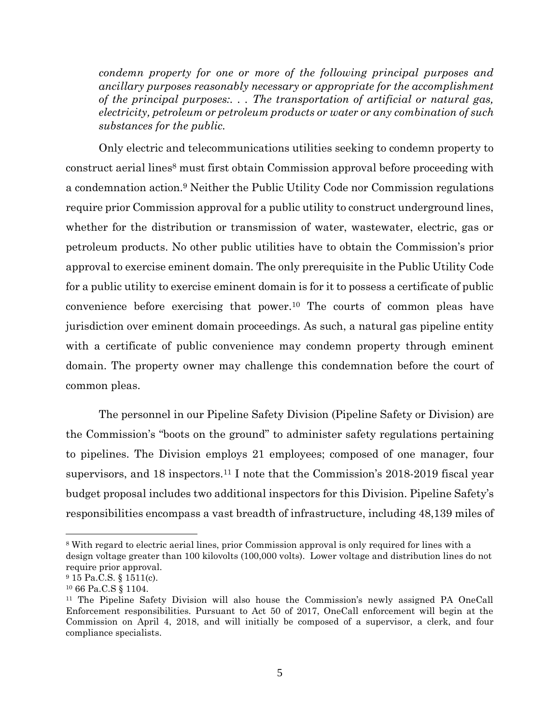*condemn property for one or more of the following principal purposes and ancillary purposes reasonably necessary or appropriate for the accomplishment of the principal purposes:. . . The transportation of artificial or natural gas, electricity, petroleum or petroleum products or water or any combination of such substances for the public.*

Only electric and telecommunications utilities seeking to condemn property to construct aerial lines<sup>8</sup> must first obtain Commission approval before proceeding with a condemnation action.<sup>9</sup> Neither the Public Utility Code nor Commission regulations require prior Commission approval for a public utility to construct underground lines, whether for the distribution or transmission of water, wastewater, electric, gas or petroleum products. No other public utilities have to obtain the Commission's prior approval to exercise eminent domain. The only prerequisite in the Public Utility Code for a public utility to exercise eminent domain is for it to possess a certificate of public convenience before exercising that power.<sup>10</sup> The courts of common pleas have jurisdiction over eminent domain proceedings. As such, a natural gas pipeline entity with a certificate of public convenience may condemn property through eminent domain. The property owner may challenge this condemnation before the court of common pleas.

The personnel in our Pipeline Safety Division (Pipeline Safety or Division) are the Commission's "boots on the ground" to administer safety regulations pertaining to pipelines. The Division employs 21 employees; composed of one manager, four supervisors, and 18 inspectors.<sup>11</sup> I note that the Commission's 2018-2019 fiscal year budget proposal includes two additional inspectors for this Division. Pipeline Safety's responsibilities encompass a vast breadth of infrastructure, including 48,139 miles of

<sup>8</sup> With regard to electric aerial lines, prior Commission approval is only required for lines with a design voltage greater than 100 kilovolts (100,000 volts). Lower voltage and distribution lines do not require prior approval.

<sup>9</sup> 15 Pa.C.S. § 1511(c).

<sup>10</sup> 66 Pa.C.S § 1104.

<sup>11</sup> The Pipeline Safety Division will also house the Commission's newly assigned PA OneCall Enforcement responsibilities. Pursuant to Act 50 of 2017, OneCall enforcement will begin at the Commission on April 4, 2018, and will initially be composed of a supervisor, a clerk, and four compliance specialists.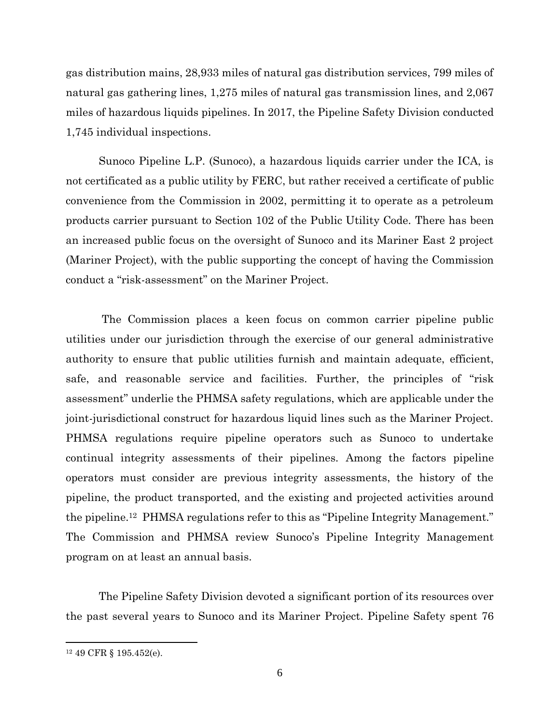gas distribution mains, 28,933 miles of natural gas distribution services, 799 miles of natural gas gathering lines, 1,275 miles of natural gas transmission lines, and 2,067 miles of hazardous liquids pipelines. In 2017, the Pipeline Safety Division conducted 1,745 individual inspections.

Sunoco Pipeline L.P. (Sunoco), a hazardous liquids carrier under the ICA, is not certificated as a public utility by FERC, but rather received a certificate of public convenience from the Commission in 2002, permitting it to operate as a petroleum products carrier pursuant to Section 102 of the Public Utility Code. There has been an increased public focus on the oversight of Sunoco and its Mariner East 2 project (Mariner Project), with the public supporting the concept of having the Commission conduct a "risk-assessment" on the Mariner Project.

The Commission places a keen focus on common carrier pipeline public utilities under our jurisdiction through the exercise of our general administrative authority to ensure that public utilities furnish and maintain adequate, efficient, safe, and reasonable service and facilities. Further, the principles of "risk assessment" underlie the PHMSA safety regulations, which are applicable under the joint-jurisdictional construct for hazardous liquid lines such as the Mariner Project. PHMSA regulations require pipeline operators such as Sunoco to undertake continual integrity assessments of their pipelines. Among the factors pipeline operators must consider are previous integrity assessments, the history of the pipeline, the product transported, and the existing and projected activities around the pipeline.<sup>12</sup> PHMSA regulations refer to this as "Pipeline Integrity Management." The Commission and PHMSA review Sunoco's Pipeline Integrity Management program on at least an annual basis.

The Pipeline Safety Division devoted a significant portion of its resources over the past several years to Sunoco and its Mariner Project. Pipeline Safety spent 76

<sup>12</sup> 49 CFR § 195.452(e).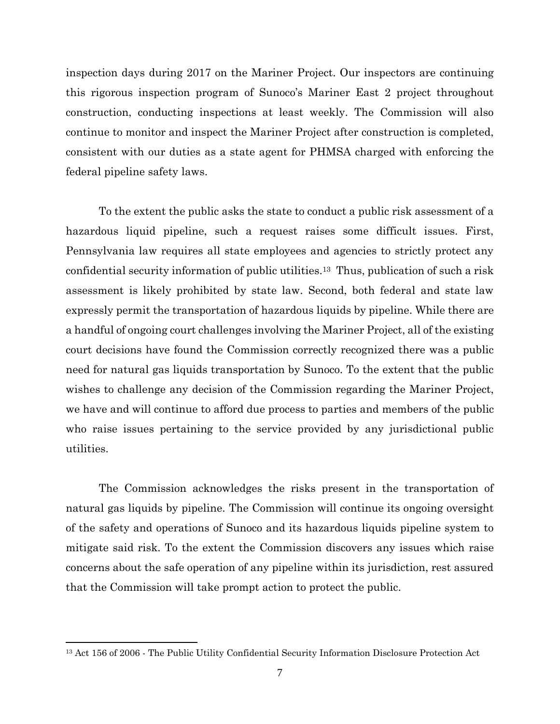inspection days during 2017 on the Mariner Project. Our inspectors are continuing this rigorous inspection program of Sunoco's Mariner East 2 project throughout construction, conducting inspections at least weekly. The Commission will also continue to monitor and inspect the Mariner Project after construction is completed, consistent with our duties as a state agent for PHMSA charged with enforcing the federal pipeline safety laws.

To the extent the public asks the state to conduct a public risk assessment of a hazardous liquid pipeline, such a request raises some difficult issues. First, Pennsylvania law requires all state employees and agencies to strictly protect any confidential security information of public utilities.13 Thus, publication of such a risk assessment is likely prohibited by state law. Second, both federal and state law expressly permit the transportation of hazardous liquids by pipeline. While there are a handful of ongoing court challenges involving the Mariner Project, all of the existing court decisions have found the Commission correctly recognized there was a public need for natural gas liquids transportation by Sunoco. To the extent that the public wishes to challenge any decision of the Commission regarding the Mariner Project, we have and will continue to afford due process to parties and members of the public who raise issues pertaining to the service provided by any jurisdictional public utilities.

The Commission acknowledges the risks present in the transportation of natural gas liquids by pipeline. The Commission will continue its ongoing oversight of the safety and operations of Sunoco and its hazardous liquids pipeline system to mitigate said risk. To the extent the Commission discovers any issues which raise concerns about the safe operation of any pipeline within its jurisdiction, rest assured that the Commission will take prompt action to protect the public.

<sup>13</sup> Act 156 of 2006 - The Public Utility Confidential Security Information Disclosure Protection Act